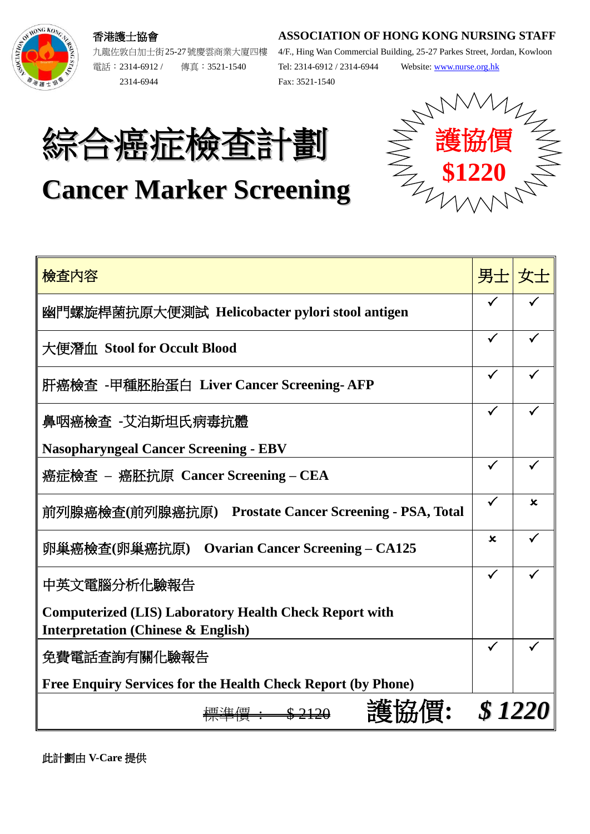### **ASSOCIATION OF HONG KONG NURSING STAFF**



九龍佐敦白加士街25-27號慶雲商業大廈四樓 電話︰2314-6912 / 傳真︰3521-1540 2314-6944

香港護士協會

4/F., Hing Wan Commercial Building, 25-27 Parkes Street, Jordan, Kowloon Tel: 2314-6912 / 2314-6944 Website: [www.nurse.org.hk](http://www.nurse.org.hk/) Fax: 3521-1540

護協價

NANT-

**\$1220**

# 綜合癌症檢查計劃

## **Cancer Marker Screening**

| 檢查內容                                                                                                           | 男士 女士       |   |  |
|----------------------------------------------------------------------------------------------------------------|-------------|---|--|
| 幽門螺旋桿菌抗原大便測試 Helicobacter pylori stool antigen                                                                 |             |   |  |
| 大便潛血 Stool for Occult Blood                                                                                    |             |   |  |
| 肝癌檢查 -甲種胚胎蛋白 Liver Cancer Screening-AFP                                                                        |             |   |  |
| 鼻咽癌檢查 -艾泊斯坦氏病毒抗體                                                                                               |             |   |  |
| <b>Nasopharyngeal Cancer Screening - EBV</b>                                                                   |             |   |  |
| 癌症檢查 – 癌胚抗原 Cancer Screening – CEA                                                                             | ✓           |   |  |
| 前列腺癌檢查(前列腺癌抗原) Prostate Cancer Screening - PSA, Total                                                          |             | x |  |
| 卵巢癌檢查(卵巢癌抗原)<br><b>Ovarian Cancer Screening – CA125</b>                                                        | $\mathbf x$ |   |  |
| 中英文電腦分析化驗報告                                                                                                    | ✓           |   |  |
| <b>Computerized (LIS) Laboratory Health Check Report with</b><br><b>Interpretation (Chinese &amp; English)</b> |             |   |  |
| 免費電話查詢有關化驗報告                                                                                                   |             |   |  |
| <b>Free Enquiry Services for the Health Check Report (by Phone)</b>                                            |             |   |  |
|                                                                                                                |             |   |  |